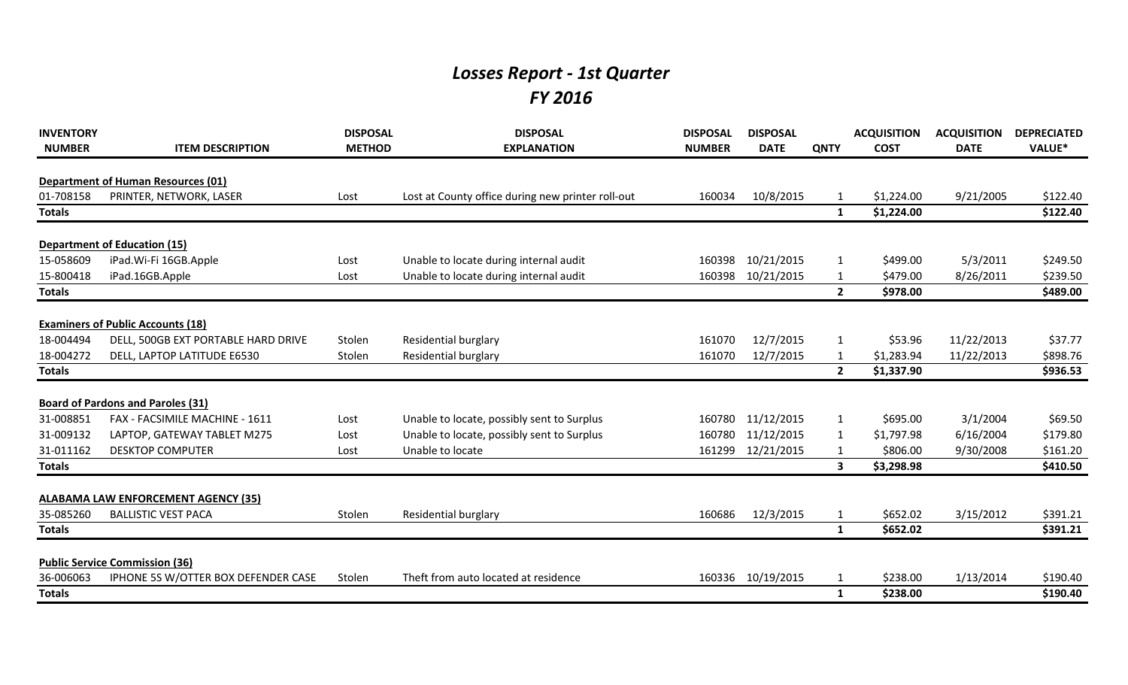## *Losses Report - 1st Quarter FY 2016*

| <b>INVENTORY</b><br><b>NUMBER</b> | <b>ITEM DESCRIPTION</b>                                                      | <b>DISPOSAL</b><br><b>METHOD</b> | <b>DISPOSAL</b><br><b>EXPLANATION</b>             | <b>DISPOSAL</b><br><b>NUMBER</b> | <b>DISPOSAL</b><br><b>DATE</b> | <b>QNTY</b>    | <b>ACQUISITION</b><br><b>COST</b> | <b>ACQUISITION</b><br><b>DATE</b> | <b>DEPRECIATED</b><br><b>VALUE*</b> |
|-----------------------------------|------------------------------------------------------------------------------|----------------------------------|---------------------------------------------------|----------------------------------|--------------------------------|----------------|-----------------------------------|-----------------------------------|-------------------------------------|
|                                   |                                                                              |                                  |                                                   |                                  |                                |                |                                   |                                   |                                     |
|                                   | <b>Department of Human Resources (01)</b>                                    |                                  |                                                   |                                  |                                |                |                                   |                                   |                                     |
| 01-708158                         | PRINTER, NETWORK, LASER                                                      | Lost                             | Lost at County office during new printer roll-out | 160034                           | 10/8/2015                      | 1              | \$1,224.00                        | 9/21/2005                         | \$122.40                            |
| <b>Totals</b>                     |                                                                              |                                  |                                                   |                                  |                                | $\mathbf{1}$   | \$1,224.00                        |                                   | \$122.40                            |
|                                   |                                                                              |                                  |                                                   |                                  |                                |                |                                   |                                   |                                     |
|                                   | <b>Department of Education (15)</b>                                          |                                  |                                                   |                                  |                                |                |                                   |                                   |                                     |
| 15-058609                         | iPad.Wi-Fi 16GB.Apple                                                        | Lost                             | Unable to locate during internal audit            | 160398                           | 10/21/2015                     | 1              | \$499.00                          | 5/3/2011                          | \$249.50                            |
| 15-800418                         | iPad.16GB.Apple                                                              | Lost                             | Unable to locate during internal audit            | 160398                           | 10/21/2015                     |                | \$479.00                          | 8/26/2011                         | \$239.50                            |
| <b>Totals</b>                     |                                                                              |                                  |                                                   |                                  |                                | $\overline{2}$ | \$978.00                          |                                   | \$489.00                            |
|                                   |                                                                              |                                  |                                                   |                                  |                                |                |                                   |                                   |                                     |
|                                   | <b>Examiners of Public Accounts (18)</b>                                     |                                  |                                                   |                                  |                                |                |                                   |                                   |                                     |
| 18-004494                         | DELL, 500GB EXT PORTABLE HARD DRIVE                                          | Stolen                           | Residential burglary                              | 161070                           | 12/7/2015                      | 1              | \$53.96                           | 11/22/2013                        | \$37.77                             |
| 18-004272                         | DELL, LAPTOP LATITUDE E6530                                                  | Stolen                           | Residential burglary                              | 161070                           | 12/7/2015                      | 1              | \$1,283.94                        | 11/22/2013                        | \$898.76                            |
| <b>Totals</b>                     |                                                                              |                                  |                                                   |                                  |                                | $\overline{2}$ | \$1,337.90                        |                                   | \$936.53                            |
|                                   | <b>Board of Pardons and Paroles (31)</b>                                     |                                  |                                                   |                                  |                                |                |                                   |                                   |                                     |
| 31-008851                         | FAX - FACSIMILE MACHINE - 1611                                               | Lost                             | Unable to locate, possibly sent to Surplus        | 160780                           | 11/12/2015                     | 1              | \$695.00                          | 3/1/2004                          | \$69.50                             |
| 31-009132                         | LAPTOP, GATEWAY TABLET M275                                                  | Lost                             | Unable to locate, possibly sent to Surplus        | 160780                           | 11/12/2015                     | 1              | \$1,797.98                        | 6/16/2004                         | \$179.80                            |
| 31-011162                         | <b>DESKTOP COMPUTER</b>                                                      | Lost                             | Unable to locate                                  | 161299                           | 12/21/2015                     |                | \$806.00                          | 9/30/2008                         | \$161.20                            |
| <b>Totals</b>                     |                                                                              |                                  |                                                   |                                  |                                | $\mathbf{3}$   | \$3,298.98                        |                                   | \$410.50                            |
|                                   |                                                                              |                                  |                                                   |                                  |                                |                |                                   |                                   |                                     |
|                                   | <b>ALABAMA LAW ENFORCEMENT AGENCY (35)</b>                                   |                                  |                                                   |                                  |                                |                |                                   |                                   |                                     |
| 35-085260                         | <b>BALLISTIC VEST PACA</b>                                                   | Stolen                           | Residential burglary                              | 160686                           | 12/3/2015                      | $\mathbf{1}$   | \$652.02                          | 3/15/2012                         | \$391.21                            |
| <b>Totals</b>                     |                                                                              |                                  |                                                   |                                  |                                | $\mathbf{1}$   | \$652.02                          |                                   | \$391.21                            |
|                                   |                                                                              |                                  |                                                   |                                  |                                |                |                                   |                                   |                                     |
| 36-006063                         | <b>Public Service Commission (36)</b><br>IPHONE 5S W/OTTER BOX DEFENDER CASE | Stolen                           | Theft from auto located at residence              | 160336                           | 10/19/2015                     | 1              | \$238.00                          | 1/13/2014                         | \$190.40                            |
| <b>Totals</b>                     |                                                                              |                                  |                                                   |                                  |                                | $\mathbf{1}$   | \$238.00                          |                                   | \$190.40                            |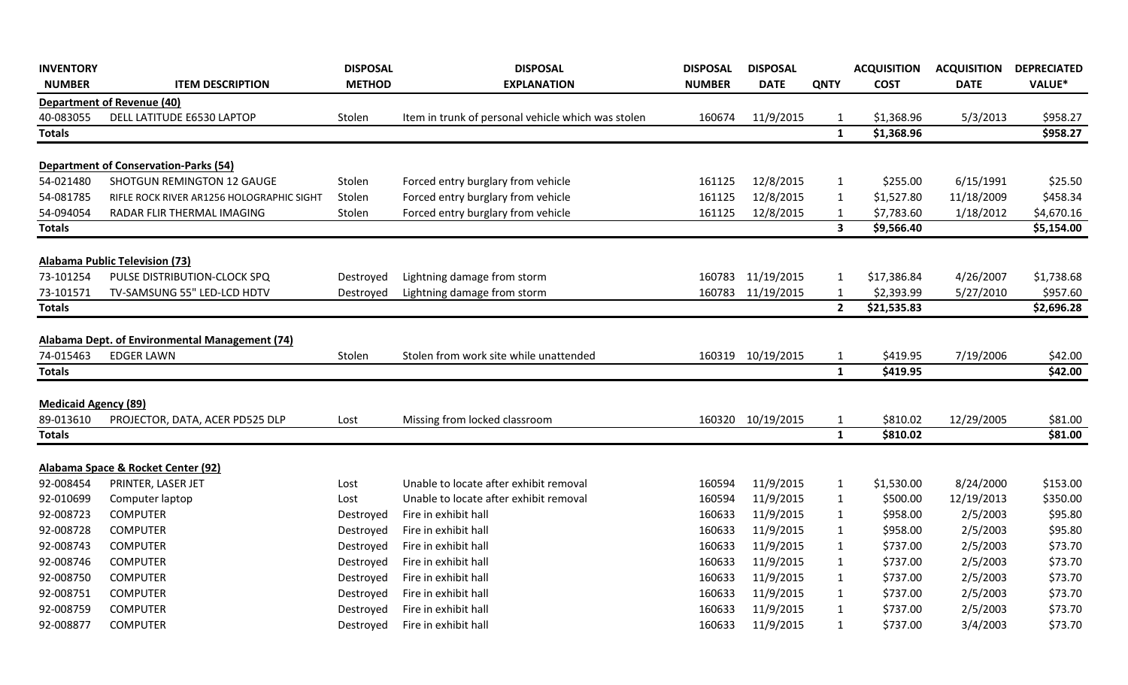| <b>INVENTORY</b>            |                                                | <b>DISPOSAL</b> | <b>DISPOSAL</b>                                    | <b>DISPOSAL</b> | <b>DISPOSAL</b> |                         | <b>ACQUISITION</b> | <b>ACQUISITION</b> | <b>DEPRECIATED</b> |
|-----------------------------|------------------------------------------------|-----------------|----------------------------------------------------|-----------------|-----------------|-------------------------|--------------------|--------------------|--------------------|
| <b>NUMBER</b>               | <b>ITEM DESCRIPTION</b>                        | <b>METHOD</b>   | <b>EXPLANATION</b>                                 | <b>NUMBER</b>   | <b>DATE</b>     | <b>QNTY</b>             | <b>COST</b>        | <b>DATE</b>        | VALUE*             |
|                             | <b>Department of Revenue (40)</b>              |                 |                                                    |                 |                 |                         |                    |                    |                    |
| 40-083055                   | DELL LATITUDE E6530 LAPTOP                     | Stolen          | Item in trunk of personal vehicle which was stolen | 160674          | 11/9/2015       | 1                       | \$1,368.96         | 5/3/2013           | \$958.27           |
| <b>Totals</b>               |                                                |                 |                                                    |                 |                 | $\mathbf{1}$            | \$1,368.96         |                    | \$958.27           |
|                             |                                                |                 |                                                    |                 |                 |                         |                    |                    |                    |
|                             | <b>Department of Conservation-Parks (54)</b>   |                 |                                                    |                 |                 |                         |                    |                    |                    |
| 54-021480                   | SHOTGUN REMINGTON 12 GAUGE                     | Stolen          | Forced entry burglary from vehicle                 | 161125          | 12/8/2015       | $\mathbf{1}$            | \$255.00           | 6/15/1991          | \$25.50            |
| 54-081785                   | RIFLE ROCK RIVER AR1256 HOLOGRAPHIC SIGHT      | Stolen          | Forced entry burglary from vehicle                 | 161125          | 12/8/2015       | $\mathbf{1}$            | \$1,527.80         | 11/18/2009         | \$458.34           |
| 54-094054                   | RADAR FLIR THERMAL IMAGING                     | Stolen          | Forced entry burglary from vehicle                 | 161125          | 12/8/2015       | 1                       | \$7,783.60         | 1/18/2012          | \$4,670.16         |
| <b>Totals</b>               |                                                |                 |                                                    |                 |                 | $\overline{\mathbf{3}}$ | \$9,566.40         |                    | \$5,154.00         |
|                             | <b>Alabama Public Television (73)</b>          |                 |                                                    |                 |                 |                         |                    |                    |                    |
| 73-101254                   | PULSE DISTRIBUTION-CLOCK SPQ                   | Destroyed       | Lightning damage from storm                        | 160783          | 11/19/2015      | $\mathbf{1}$            | \$17,386.84        | 4/26/2007          | \$1,738.68         |
| 73-101571                   | TV-SAMSUNG 55" LED-LCD HDTV                    | Destroyed       | Lightning damage from storm                        | 160783          | 11/19/2015      | $\mathbf{1}$            | \$2,393.99         | 5/27/2010          | \$957.60           |
| <b>Totals</b>               |                                                |                 |                                                    |                 |                 | $\overline{2}$          | \$21,535.83        |                    | \$2,696.28         |
|                             |                                                |                 |                                                    |                 |                 |                         |                    |                    |                    |
|                             | Alabama Dept. of Environmental Management (74) |                 |                                                    |                 |                 |                         |                    |                    |                    |
| 74-015463                   | <b>EDGER LAWN</b>                              | Stolen          | Stolen from work site while unattended             | 160319          | 10/19/2015      | $\mathbf{1}$            | \$419.95           | 7/19/2006          | \$42.00            |
| <b>Totals</b>               |                                                |                 |                                                    |                 |                 | $\mathbf{1}$            | \$419.95           |                    | \$42.00            |
|                             |                                                |                 |                                                    |                 |                 |                         |                    |                    |                    |
| <b>Medicaid Agency (89)</b> |                                                |                 |                                                    |                 |                 |                         |                    |                    |                    |
| 89-013610                   | PROJECTOR, DATA, ACER PD525 DLP                | Lost            | Missing from locked classroom                      | 160320          | 10/19/2015      | $\mathbf{1}$            | \$810.02           | 12/29/2005         | \$81.00            |
| <b>Totals</b>               |                                                |                 |                                                    |                 |                 | $\mathbf{1}$            | \$810.02           |                    | \$81.00            |
|                             | Alabama Space & Rocket Center (92)             |                 |                                                    |                 |                 |                         |                    |                    |                    |
| 92-008454                   | PRINTER, LASER JET                             | Lost            | Unable to locate after exhibit removal             | 160594          | 11/9/2015       | $\mathbf{1}$            | \$1,530.00         | 8/24/2000          | \$153.00           |
| 92-010699                   | Computer laptop                                | Lost            | Unable to locate after exhibit removal             | 160594          | 11/9/2015       | $\mathbf{1}$            | \$500.00           | 12/19/2013         | \$350.00           |
| 92-008723                   | <b>COMPUTER</b>                                | Destroyed       | Fire in exhibit hall                               | 160633          | 11/9/2015       | $\mathbf{1}$            | \$958.00           | 2/5/2003           | \$95.80            |
| 92-008728                   | <b>COMPUTER</b>                                | Destroyed       | Fire in exhibit hall                               | 160633          | 11/9/2015       | $\mathbf{1}$            | \$958.00           | 2/5/2003           | \$95.80            |
| 92-008743                   | <b>COMPUTER</b>                                | Destroyed       | Fire in exhibit hall                               | 160633          | 11/9/2015       | $\mathbf{1}$            | \$737.00           | 2/5/2003           | \$73.70            |
| 92-008746                   | <b>COMPUTER</b>                                | Destroyed       | Fire in exhibit hall                               | 160633          | 11/9/2015       | $\mathbf{1}$            | \$737.00           | 2/5/2003           | \$73.70            |
| 92-008750                   | <b>COMPUTER</b>                                | Destroyed       | Fire in exhibit hall                               | 160633          | 11/9/2015       | $\mathbf{1}$            | \$737.00           | 2/5/2003           | \$73.70            |
| 92-008751                   | <b>COMPUTER</b>                                | Destroyed       | Fire in exhibit hall                               | 160633          | 11/9/2015       | $\mathbf{1}$            | \$737.00           | 2/5/2003           | \$73.70            |
| 92-008759                   | <b>COMPUTER</b>                                | Destroyed       | Fire in exhibit hall                               | 160633          | 11/9/2015       | $\mathbf{1}$            | \$737.00           | 2/5/2003           | \$73.70            |
| 92-008877                   | <b>COMPUTER</b>                                | Destroyed       | Fire in exhibit hall                               | 160633          | 11/9/2015       | $\mathbf{1}$            | \$737.00           | 3/4/2003           | \$73.70            |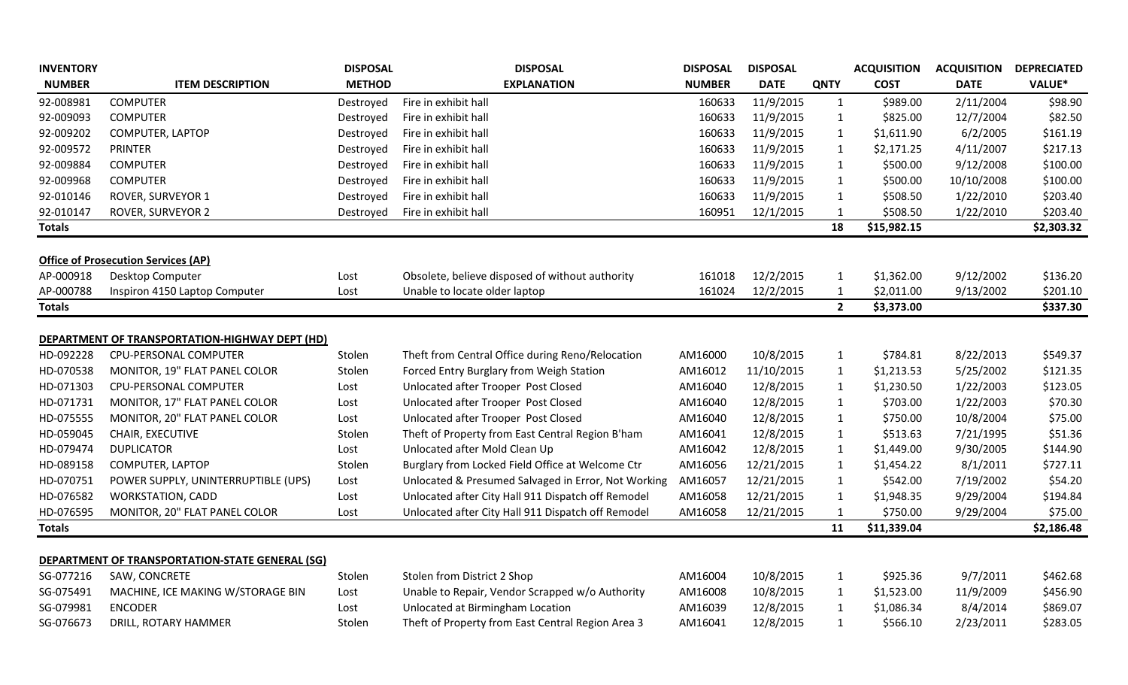| <b>INVENTORY</b> |                                                 | <b>DISPOSAL</b> | <b>DISPOSAL</b>                                     | <b>DISPOSAL</b> | <b>DISPOSAL</b> |                | <b>ACQUISITION</b> | <b>ACQUISITION</b> | <b>DEPRECIATED</b> |
|------------------|-------------------------------------------------|-----------------|-----------------------------------------------------|-----------------|-----------------|----------------|--------------------|--------------------|--------------------|
| <b>NUMBER</b>    | <b>ITEM DESCRIPTION</b>                         | <b>METHOD</b>   | <b>EXPLANATION</b>                                  | <b>NUMBER</b>   | <b>DATE</b>     | <b>QNTY</b>    | <b>COST</b>        | <b>DATE</b>        | <b>VALUE*</b>      |
| 92-008981        | <b>COMPUTER</b>                                 | Destroyed       | Fire in exhibit hall                                | 160633          | 11/9/2015       | $\mathbf{1}$   | \$989.00           | 2/11/2004          | \$98.90            |
| 92-009093        | <b>COMPUTER</b>                                 | Destroyed       | Fire in exhibit hall                                | 160633          | 11/9/2015       | $\mathbf{1}$   | \$825.00           | 12/7/2004          | \$82.50            |
| 92-009202        | COMPUTER, LAPTOP                                | Destroyed       | Fire in exhibit hall                                | 160633          | 11/9/2015       | $\mathbf{1}$   | \$1,611.90         | 6/2/2005           | \$161.19           |
| 92-009572        | <b>PRINTER</b>                                  | Destroyed       | Fire in exhibit hall                                | 160633          | 11/9/2015       | $\mathbf{1}$   | \$2,171.25         | 4/11/2007          | \$217.13           |
| 92-009884        | <b>COMPUTER</b>                                 | Destroyed       | Fire in exhibit hall                                | 160633          | 11/9/2015       | 1              | \$500.00           | 9/12/2008          | \$100.00           |
| 92-009968        | <b>COMPUTER</b>                                 | Destroyed       | Fire in exhibit hall                                | 160633          | 11/9/2015       | 1              | \$500.00           | 10/10/2008         | \$100.00           |
| 92-010146        | ROVER, SURVEYOR 1                               | Destroyed       | Fire in exhibit hall                                | 160633          | 11/9/2015       | $\mathbf{1}$   | \$508.50           | 1/22/2010          | \$203.40           |
| 92-010147        | <b>ROVER, SURVEYOR 2</b>                        | Destroyed       | Fire in exhibit hall                                | 160951          | 12/1/2015       | $\mathbf{1}$   | \$508.50           | 1/22/2010          | \$203.40           |
| <b>Totals</b>    |                                                 |                 |                                                     |                 |                 | 18             | \$15,982.15        |                    | \$2,303.32         |
|                  |                                                 |                 |                                                     |                 |                 |                |                    |                    |                    |
|                  | <b>Office of Prosecution Services (AP)</b>      |                 |                                                     |                 |                 |                |                    |                    |                    |
| AP-000918        | Desktop Computer                                | Lost            | Obsolete, believe disposed of without authority     | 161018          | 12/2/2015       | 1              | \$1,362.00         | 9/12/2002          | \$136.20           |
| AP-000788        | Inspiron 4150 Laptop Computer                   | Lost            | Unable to locate older laptop                       | 161024          | 12/2/2015       | $\mathbf{1}$   | \$2,011.00         | 9/13/2002          | \$201.10           |
| <b>Totals</b>    |                                                 |                 |                                                     |                 |                 | $\overline{2}$ | \$3,373.00         |                    | \$337.30           |
|                  | DEPARTMENT OF TRANSPORTATION-HIGHWAY DEPT (HD)  |                 |                                                     |                 |                 |                |                    |                    |                    |
| HD-092228        | CPU-PERSONAL COMPUTER                           | Stolen          | Theft from Central Office during Reno/Relocation    | AM16000         | 10/8/2015       | $\mathbf{1}$   | \$784.81           | 8/22/2013          | \$549.37           |
| HD-070538        | MONITOR, 19" FLAT PANEL COLOR                   | Stolen          | Forced Entry Burglary from Weigh Station            | AM16012         | 11/10/2015      | $\mathbf{1}$   | \$1,213.53         | 5/25/2002          | \$121.35           |
| HD-071303        | CPU-PERSONAL COMPUTER                           | Lost            | Unlocated after Trooper Post Closed                 | AM16040         | 12/8/2015       | $\mathbf{1}$   | \$1,230.50         | 1/22/2003          | \$123.05           |
| HD-071731        | MONITOR, 17" FLAT PANEL COLOR                   | Lost            | Unlocated after Trooper Post Closed                 | AM16040         | 12/8/2015       | 1              | \$703.00           | 1/22/2003          | \$70.30            |
| HD-075555        | MONITOR, 20" FLAT PANEL COLOR                   | Lost            | Unlocated after Trooper Post Closed                 | AM16040         | 12/8/2015       | $\mathbf{1}$   | \$750.00           | 10/8/2004          | \$75.00            |
| HD-059045        | CHAIR, EXECUTIVE                                | Stolen          | Theft of Property from East Central Region B'ham    | AM16041         | 12/8/2015       | 1              | \$513.63           | 7/21/1995          | \$51.36            |
| HD-079474        | <b>DUPLICATOR</b>                               | Lost            | Unlocated after Mold Clean Up                       | AM16042         | 12/8/2015       | $\mathbf{1}$   | \$1,449.00         | 9/30/2005          | \$144.90           |
| HD-089158        | <b>COMPUTER, LAPTOP</b>                         | Stolen          | Burglary from Locked Field Office at Welcome Ctr    | AM16056         | 12/21/2015      | $\mathbf{1}$   | \$1,454.22         | 8/1/2011           | \$727.11           |
| HD-070751        | POWER SUPPLY, UNINTERRUPTIBLE (UPS)             | Lost            | Unlocated & Presumed Salvaged in Error, Not Working | AM16057         | 12/21/2015      | $\mathbf{1}$   | \$542.00           | 7/19/2002          | \$54.20            |
| HD-076582        | <b>WORKSTATION, CADD</b>                        | Lost            | Unlocated after City Hall 911 Dispatch off Remodel  | AM16058         | 12/21/2015      | $\mathbf{1}$   | \$1,948.35         | 9/29/2004          | \$194.84           |
| HD-076595        | MONITOR, 20" FLAT PANEL COLOR                   | Lost            | Unlocated after City Hall 911 Dispatch off Remodel  | AM16058         | 12/21/2015      | 1              | \$750.00           | 9/29/2004          | \$75.00            |
| <b>Totals</b>    |                                                 |                 |                                                     |                 |                 | 11             | \$11,339.04        |                    | \$2,186.48         |
|                  |                                                 |                 |                                                     |                 |                 |                |                    |                    |                    |
|                  | DEPARTMENT OF TRANSPORTATION-STATE GENERAL (SG) |                 |                                                     |                 |                 |                |                    |                    |                    |
| SG-077216        | SAW, CONCRETE                                   | Stolen          | Stolen from District 2 Shop                         | AM16004         | 10/8/2015       | $\mathbf{1}$   | \$925.36           | 9/7/2011           | \$462.68           |
| SG-075491        | MACHINE, ICE MAKING W/STORAGE BIN               | Lost            | Unable to Repair, Vendor Scrapped w/o Authority     | AM16008         | 10/8/2015       | $\mathbf{1}$   | \$1,523.00         | 11/9/2009          | \$456.90           |
| SG-079981        | <b>ENCODER</b>                                  | Lost            | Unlocated at Birmingham Location                    | AM16039         | 12/8/2015       | $\mathbf{1}$   | \$1,086.34         | 8/4/2014           | \$869.07           |
| SG-076673        | DRILL, ROTARY HAMMER                            | Stolen          | Theft of Property from East Central Region Area 3   | AM16041         | 12/8/2015       | $\mathbf{1}$   | \$566.10           | 2/23/2011          | \$283.05           |